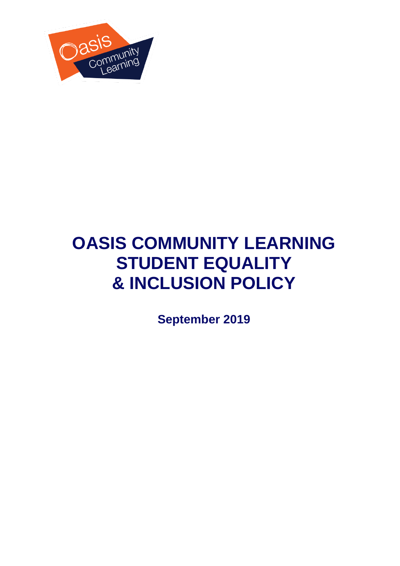

# **OASIS COMMUNITY LEARNING STUDENT EQUALITY & INCLUSION POLICY**

**September 2019**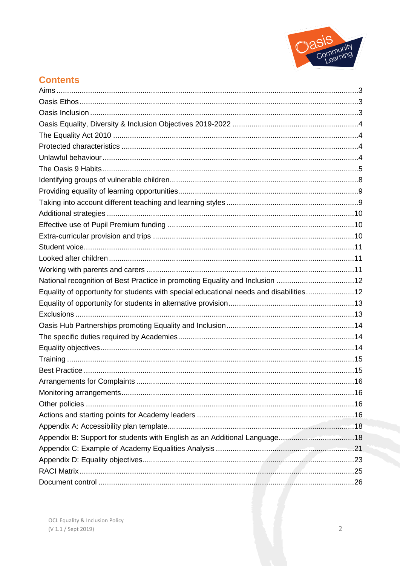

# **Contents**

| National recognition of Best Practice in promoting Equality and Inclusion 12           |  |
|----------------------------------------------------------------------------------------|--|
| Equality of opportunity for students with special educational needs and disabilities12 |  |
|                                                                                        |  |
|                                                                                        |  |
|                                                                                        |  |
|                                                                                        |  |
|                                                                                        |  |
|                                                                                        |  |
|                                                                                        |  |
|                                                                                        |  |
|                                                                                        |  |
|                                                                                        |  |
|                                                                                        |  |
|                                                                                        |  |
|                                                                                        |  |
|                                                                                        |  |
|                                                                                        |  |
|                                                                                        |  |
|                                                                                        |  |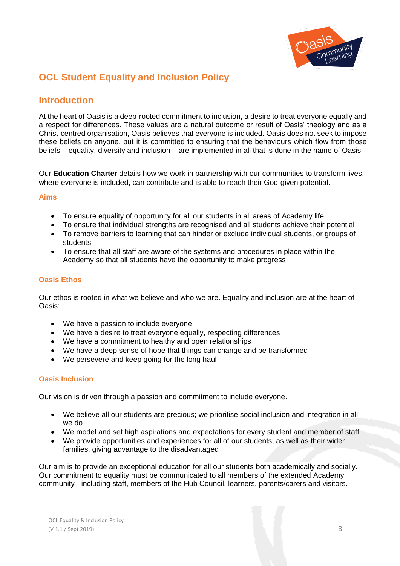

# **OCL Student Equality and Inclusion Policy**

# **Introduction**

At the heart of Oasis is a deep-rooted commitment to inclusion, a desire to treat everyone equally and a respect for differences. These values are a natural outcome or result of Oasis' theology and as a Christ-centred organisation, Oasis believes that everyone is included. Oasis does not seek to impose these beliefs on anyone, but it is committed to ensuring that the behaviours which flow from those beliefs – equality, diversity and inclusion – are implemented in all that is done in the name of Oasis.

Our **Education Charter** details how we work in partnership with our communities to transform lives, where everyone is included, can contribute and is able to reach their God-given potential.

#### <span id="page-2-0"></span>**Aims**

- To ensure equality of opportunity for all our students in all areas of Academy life
- To ensure that individual strengths are recognised and all students achieve their potential
- To remove barriers to learning that can hinder or exclude individual students, or groups of students
- To ensure that all staff are aware of the systems and procedures in place within the Academy so that all students have the opportunity to make progress

## <span id="page-2-1"></span>**Oasis Ethos**

Our ethos is rooted in what we believe and who we are. Equality and inclusion are at the heart of Oasis:

- We have a passion to include everyone
- We have a desire to treat everyone equally, respecting differences
- We have a commitment to healthy and open relationships
- We have a deep sense of hope that things can change and be transformed
- We persevere and keep going for the long haul

#### <span id="page-2-2"></span>**Oasis Inclusion**

Our vision is driven through a passion and commitment to include everyone.

- We believe all our students are precious; we prioritise social inclusion and integration in all we do
- We model and set high aspirations and expectations for every student and member of staff
- <span id="page-2-3"></span> We provide opportunities and experiences for all of our students, as well as their wider families, giving advantage to the disadvantaged

Our aim is to provide an exceptional education for all our students both academically and socially. Our commitment to equality must be communicated to all members of the extended Academy community - including staff, members of the Hub Council, learners, parents/carers and visitors.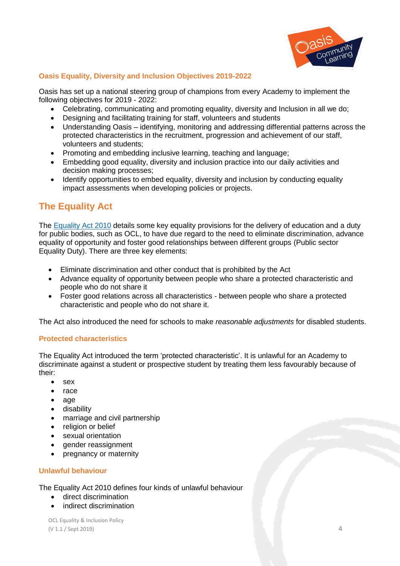

## **Oasis Equality, Diversity and Inclusion Objectives 2019-2022**

Oasis has set up a national steering group of champions from every Academy to implement the following objectives for 2019 - 2022:

- Celebrating, communicating and promoting equality, diversity and Inclusion in all we do;
- Designing and facilitating training for staff, volunteers and students
- Understanding Oasis identifying, monitoring and addressing differential patterns across the protected characteristics in the recruitment, progression and achievement of our staff, volunteers and students;
- Promoting and embedding inclusive learning, teaching and language;
- Embedding good equality, diversity and inclusion practice into our daily activities and decision making processes;
- Identify opportunities to embed equality, diversity and inclusion by conducting equality impact assessments when developing policies or projects.

# **The Equality Act**

The [Equality Act 2010](https://www.gov.uk/guidance/equality-act-2010-guidance) details some key equality provisions for the delivery of education and a duty for public bodies, such as OCL, to have due regard to the need to eliminate discrimination, advance equality of opportunity and foster good relationships between different groups (Public sector Equality Duty). There are three key elements:

- Eliminate discrimination and other conduct that is prohibited by the Act
- Advance equality of opportunity between people who share a protected characteristic and people who do not share it
- Foster good relations across all characteristics between people who share a protected characteristic and people who do not share it.

<span id="page-3-0"></span>The Act also introduced the need for schools to make *reasonable adjustments* for disabled students.

#### **Protected characteristics**

The Equality Act introduced the term 'protected characteristic'. It is unlawful for an Academy to discriminate against a student or prospective student by treating them less favourably because of their:

- sex
- race
- age
- disability
- marriage and civil partnership
- religion or belief
- sexual orientation
- gender reassignment
- pregnancy or maternity

#### **Unlawful behaviour**

The Equality Act 2010 defines four kinds of unlawful behaviour

- **•** direct discrimination
- indirect discrimination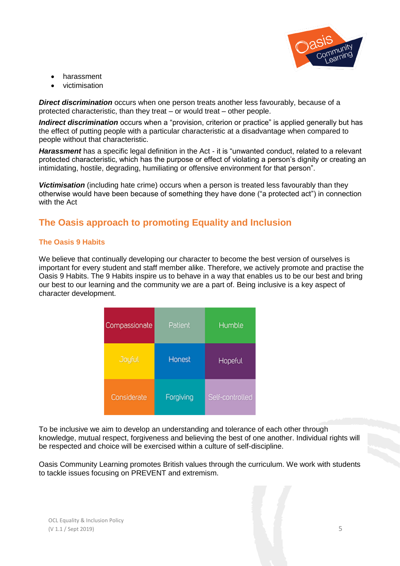

- harassment
- victimisation

*Direct discrimination* occurs when one person treats another less favourably, because of a protected characteristic, than they treat – or would treat – other people.

*Indirect discrimination* occurs when a "provision, criterion or practice" is applied generally but has the effect of putting people with a particular characteristic at a disadvantage when compared to people without that characteristic.

*Harassment* has a specific legal definition in the Act - it is "unwanted conduct, related to a relevant protected characteristic, which has the purpose or effect of violating a person's dignity or creating an intimidating, hostile, degrading, humiliating or offensive environment for that person".

*Victimisation* (including hate crime) occurs when a person is treated less favourably than they otherwise would have been because of something they have done ("a protected act") in connection with the Act

# **The Oasis approach to promoting Equality and Inclusion**

# **The Oasis 9 Habits**

We believe that continually developing our character to become the best version of ourselves is important for every student and staff member alike. Therefore, we actively promote and practise the Oasis 9 Habits. The 9 Habits inspire us to behave in a way that enables us to be our best and bring our best to our learning and the community we are a part of. Being inclusive is a key aspect of character development.

| Compassionate | Patient   | <b>Humble</b>   |
|---------------|-----------|-----------------|
| Joyful        | Honest    | Hopeful         |
| Considerate   | Forgiving | Self-controlled |

To be inclusive we aim to develop an understanding and tolerance of each other through knowledge, mutual respect, forgiveness and believing the best of one another. Individual rights will be respected and choice will be exercised within a culture of self-discipline.

Oasis Community Learning promotes British values through the curriculum. We work with students to tackle issues focusing on PREVENT and extremism.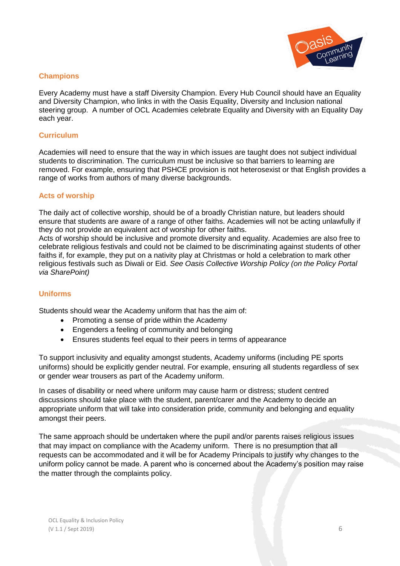

#### **Champions**

Every Academy must have a staff Diversity Champion. Every Hub Council should have an Equality and Diversity Champion, who links in with the Oasis Equality, Diversity and Inclusion national steering group. A number of OCL Academies celebrate Equality and Diversity with an Equality Day each year.

#### **Curriculum**

Academies will need to ensure that the way in which issues are taught does not subject individual students to discrimination. The curriculum must be inclusive so that barriers to learning are removed. For example, ensuring that PSHCE provision is not heterosexist or that English provides a range of works from authors of many diverse backgrounds.

#### **Acts of worship**

The daily act of collective worship, should be of a broadly Christian nature, but leaders should ensure that students are aware of a range of other faiths. Academies will not be acting unlawfully if they do not provide an equivalent act of worship for other faiths.

Acts of worship should be inclusive and promote diversity and equality. Academies are also free to celebrate religious festivals and could not be claimed to be discriminating against students of other faiths if, for example, they put on a nativity play at Christmas or hold a celebration to mark other religious festivals such as Diwali or Eid. *See Oasis Collective Worship Policy (on the Policy Portal via SharePoint)*

#### **Uniforms**

Students should wear the Academy uniform that has the aim of:

- Promoting a sense of pride within the Academy
- Engenders a feeling of community and belonging
- Ensures students feel equal to their peers in terms of appearance

To support inclusivity and equality amongst students, Academy uniforms (including PE sports uniforms) should be explicitly gender neutral. For example, ensuring all students regardless of sex or gender wear trousers as part of the Academy uniform.

In cases of disability or need where uniform may cause harm or distress; student centred discussions should take place with the student, parent/carer and the Academy to decide an appropriate uniform that will take into consideration pride, community and belonging and equality amongst their peers.

The same approach should be undertaken where the pupil and/or parents raises religious issues that may impact on compliance with the Academy uniform. There is no presumption that all requests can be accommodated and it will be for Academy Principals to justify why changes to the uniform policy cannot be made. A parent who is concerned about the Academy's position may raise the matter through the complaints policy.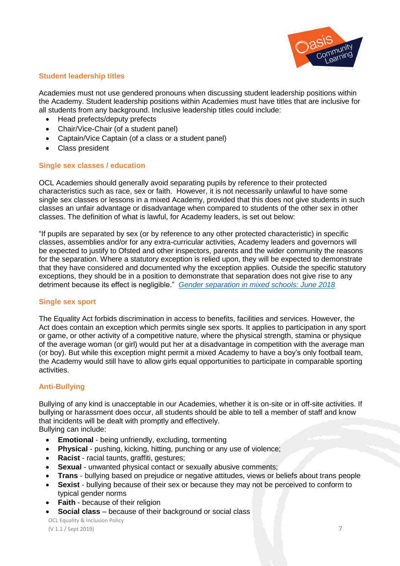

#### **Student leadership titles**

Academies must not use gendered pronouns when discussing student leadership positions within the Academy. Student leadership positions within Academies must have titles that are inclusive for all students from any background. Inclusive leadership titles could include:

- Head prefects/deputy prefects
- Chair/Vice-Chair (of a student panel)
- Captain/Vice Captain (of a class or a student panel)
- Class president

#### **Single sex classes / education**

OCL Academies should generally avoid separating pupils by reference to their protected characteristics such as race, sex or faith. However, it is not necessarily unlawful to have some single sex classes or lessons in a mixed Academy, provided that this does not give students in such classes an unfair advantage or disadvantage when compared to students of the other sex in other classes. The definition of what is lawful, for Academy leaders, is set out below:

"If pupils are separated by sex (or by reference to any other protected characteristic) in specific classes, assemblies and/or for any extra-curricular activities, Academy leaders and governors will be expected to justify to Ofsted and other inspectors, parents and the wider community the reasons for the separation. Where a statutory exception is relied upon, they will be expected to demonstrate that they have considered and documented why the exception applies. Outside the specific statutory exceptions, they should be in a position to demonstrate that separation does not give rise to any detriment because its effect is negligible." *[Gender separation in mixed schools: June 2018](https://assets.publishing.service.gov.uk/government/uploads/system/uploads/attachment_data/file/719398/Gender-separation-guidance.pdf)* 

#### **Single sex sport**

The Equality Act forbids discrimination in access to benefits, facilities and services. However, the Act does contain an exception which permits single sex sports. It applies to participation in any sport or game, or other activity of a competitive nature, where the physical strength, stamina or physique of the average woman (or girl) would put her at a disadvantage in competition with the average man (or boy). But while this exception might permit a mixed Academy to have a boy's only football team, the Academy would still have to allow girls equal opportunities to participate in comparable sporting activities.

# **Anti-Bullying**

Bullying of any kind is unacceptable in our Academies, whether it is on-site or in off-site activities. If bullying or harassment does occur, all students should be able to tell a member of staff and know that incidents will be dealt with promptly and effectively.

Bullying can include:

- **Emotional**  being unfriendly, excluding, tormenting
- **Physical** pushing, kicking, hitting, punching or any use of violence;
- **Racist**  racial taunts, graffiti, gestures;
- **Sexual**  unwanted physical contact or sexually abusive comments;
- **Trans** bullying based on prejudice or negative attitudes, views or beliefs about trans people
- **Sexist** bullying because of their sex or because they may not be perceived to conform to typical gender norms
- **•** Faith because of their religion
- **Social class** because of their background or social class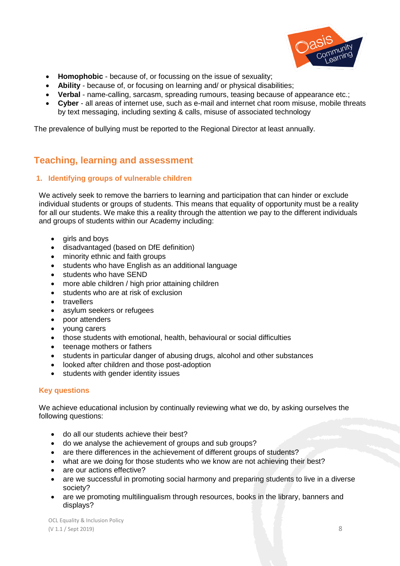

- **Homophobic**  because of, or focussing on the issue of sexuality;
- **Ability**  because of, or focusing on learning and/ or physical disabilities;
- **Verbal**  name-calling, sarcasm, spreading rumours, teasing because of appearance etc.;
- **Cyber**  all areas of internet use, such as e-mail and internet chat room misuse, mobile threats by text messaging, including sexting & calls, misuse of associated technology

The prevalence of bullying must be reported to the Regional Director at least annually.

# **Teaching, learning and assessment**

#### <span id="page-7-0"></span>**1. Identifying groups of vulnerable children**

We actively seek to remove the barriers to learning and participation that can hinder or exclude individual students or groups of students. This means that equality of opportunity must be a reality for all our students. We make this a reality through the attention we pay to the different individuals and groups of students within our Academy including:

- girls and boys
- disadvantaged (based on DfE definition)
- minority ethnic and faith groups
- students who have English as an additional language
- students who have SEND
- more able children / high prior attaining children
- students who are at risk of exclusion
- travellers
- asylum seekers or refugees
- poor attenders
- young carers
- those students with emotional, health, behavioural or social difficulties
- teenage mothers or fathers
- students in particular danger of abusing drugs, alcohol and other substances
- looked after children and those post-adoption
- students with gender identity issues

# **Key questions**

We achieve educational inclusion by continually reviewing what we do, by asking ourselves the following questions:

- do all our students achieve their best?
- do we analyse the achievement of groups and sub groups?
- are there differences in the achievement of different groups of students?
- what are we doing for those students who we know are not achieving their best?
- are our actions effective?
- are we successful in promoting social harmony and preparing students to live in a diverse society?
- are we promoting multilingualism through resources, books in the library, banners and displays?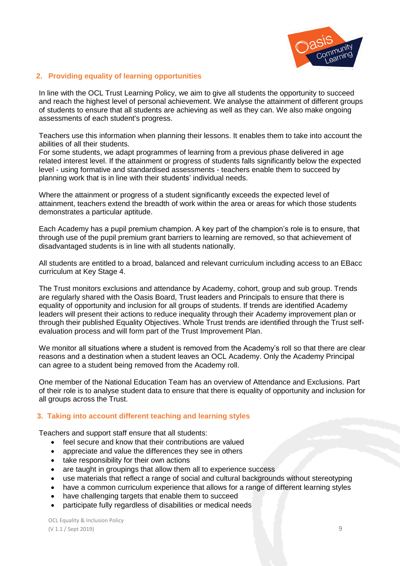

#### <span id="page-8-0"></span>**2. Providing equality of learning opportunities**

In line with the OCL Trust Learning Policy, we aim to give all students the opportunity to succeed and reach the highest level of personal achievement. We analyse the attainment of different groups of students to ensure that all students are achieving as well as they can. We also make ongoing assessments of each student's progress.

Teachers use this information when planning their lessons. It enables them to take into account the abilities of all their students.

For some students, we adapt programmes of learning from a previous phase delivered in age related interest level. If the attainment or progress of students falls significantly below the expected level - using formative and standardised assessments - teachers enable them to succeed by planning work that is in line with their students' individual needs.

Where the attainment or progress of a student significantly exceeds the expected level of attainment, teachers extend the breadth of work within the area or areas for which those students demonstrates a particular aptitude.

Each Academy has a pupil premium champion. A key part of the champion's role is to ensure, that through use of the pupil premium grant barriers to learning are removed, so that achievement of disadvantaged students is in line with all students nationally.

All students are entitled to a broad, balanced and relevant curriculum including access to an EBacc curriculum at Key Stage 4.

The Trust monitors exclusions and attendance by Academy, cohort, group and sub group. Trends are regularly shared with the Oasis Board, Trust leaders and Principals to ensure that there is equality of opportunity and inclusion for all groups of students. If trends are identified Academy leaders will present their actions to reduce inequality through their Academy improvement plan or through their published Equality Objectives. Whole Trust trends are identified through the Trust selfevaluation process and will form part of the Trust Improvement Plan.

We monitor all situations where a student is removed from the Academy's roll so that there are clear reasons and a destination when a student leaves an OCL Academy. Only the Academy Principal can agree to a student being removed from the Academy roll.

One member of the National Education Team has an overview of Attendance and Exclusions. Part of their role is to analyse student data to ensure that there is equality of opportunity and inclusion for all groups across the Trust.

#### <span id="page-8-1"></span> **3. Taking into account different teaching and learning styles**

Teachers and support staff ensure that all students:

- feel secure and know that their contributions are valued
- appreciate and value the differences they see in others
- take responsibility for their own actions
- are taught in groupings that allow them all to experience success
- use materials that reflect a range of social and cultural backgrounds without stereotyping
- have a common curriculum experience that allows for a range of different learning styles
- have challenging targets that enable them to succeed
- participate fully regardless of disabilities or medical needs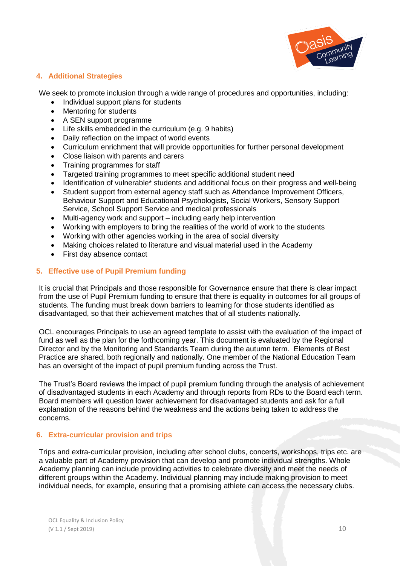

## <span id="page-9-0"></span>**4. Additional Strategies**

We seek to promote inclusion through a wide range of procedures and opportunities, including:

- Individual support plans for students
- Mentoring for students
- A SEN support programme
- Life skills embedded in the curriculum (e.g. 9 habits)
- Daily reflection on the impact of world events
- Curriculum enrichment that will provide opportunities for further personal development
- Close liaison with parents and carers
- Training programmes for staff
- Targeted training programmes to meet specific additional student need
- Identification of vulnerable\* students and additional focus on their progress and well-being
- Student support from external agency staff such as Attendance Improvement Officers, Behaviour Support and Educational Psychologists, Social Workers, Sensory Support Service, School Support Service and medical professionals
- Multi-agency work and support including early help intervention
- Working with employers to bring the realities of the world of work to the students
- Working with other agencies working in the area of social diversity
- Making choices related to literature and visual material used in the Academy
- First day absence contact

#### **5. Effective use of Pupil Premium funding**

It is crucial that Principals and those responsible for Governance ensure that there is clear impact from the use of Pupil Premium funding to ensure that there is equality in outcomes for all groups of students. The funding must break down barriers to learning for those students identified as disadvantaged, so that their achievement matches that of all students nationally.

OCL encourages Principals to use an agreed template to assist with the evaluation of the impact of fund as well as the plan for the forthcoming year. This document is evaluated by the Regional Director and by the Monitoring and Standards Team during the autumn term. Elements of Best Practice are shared, both regionally and nationally. One member of the National Education Team has an oversight of the impact of pupil premium funding across the Trust.

The Trust's Board reviews the impact of pupil premium funding through the analysis of achievement of disadvantaged students in each Academy and through reports from RDs to the Board each term. Board members will question lower achievement for disadvantaged students and ask for a full explanation of the reasons behind the weakness and the actions being taken to address the concerns.

# <span id="page-9-1"></span>**6. Extra-curricular provision and trips**

Trips and extra-curricular provision, including after school clubs, concerts, workshops, trips etc. are a valuable part of Academy provision that can develop and promote individual strengths. Whole Academy planning can include providing activities to celebrate diversity and meet the needs of different groups within the Academy. Individual planning may include making provision to meet individual needs, for example, ensuring that a promising athlete can access the necessary clubs.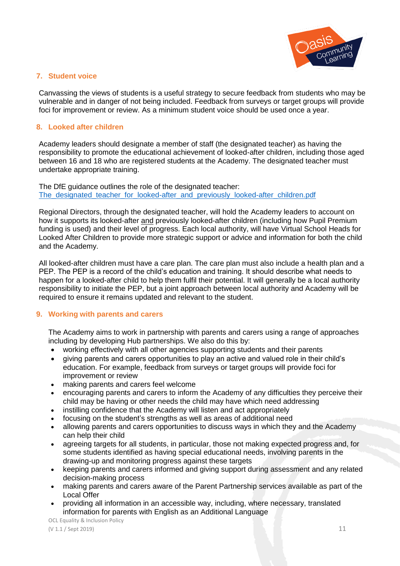

#### <span id="page-10-0"></span>**7. Student voice**

Canvassing the views of students is a useful strategy to secure feedback from students who may be vulnerable and in danger of not being included. Feedback from surveys or target groups will provide foci for improvement or review. As a minimum student voice should be used once a year.

#### <span id="page-10-1"></span>**8. Looked after children**

Academy leaders should designate a member of staff (the designated teacher) as having the responsibility to promote the educational achievement of looked-after children, including those aged between 16 and 18 who are registered students at the Academy. The designated teacher must undertake appropriate training.

The DfE guidance outlines the role of the designated teacher: The designated teacher for looked-after and previously looked-after children.pdf

Regional Directors, through the designated teacher, will hold the Academy leaders to account on how it supports its looked-after and previously looked-after children (including how Pupil Premium funding is used) and their level of progress. Each local authority, will have Virtual School Heads for Looked After Children to provide more strategic support or advice and information for both the child and the Academy.

All looked-after children must have a care plan. The care plan must also include a health plan and a PEP. The PEP is a record of the child's education and training. It should describe what needs to happen for a looked-after child to help them fulfil their potential. It will generally be a local authority responsibility to initiate the PEP, but a joint approach between local authority and Academy will be required to ensure it remains updated and relevant to the student.

#### <span id="page-10-2"></span>**9. Working with parents and carers**

The Academy aims to work in partnership with parents and carers using a range of approaches including by developing Hub partnerships. We also do this by:

- working effectively with all other agencies supporting students and their parents
- giving parents and carers opportunities to play an active and valued role in their child's education. For example, feedback from surveys or target groups will provide foci for improvement or review
- making parents and carers feel welcome
- encouraging parents and carers to inform the Academy of any difficulties they perceive their child may be having or other needs the child may have which need addressing
- instilling confidence that the Academy will listen and act appropriately
- focusing on the student's strengths as well as areas of additional need
- allowing parents and carers opportunities to discuss ways in which they and the Academy can help their child
- agreeing targets for all students, in particular, those not making expected progress and, for some students identified as having special educational needs, involving parents in the drawing-up and monitoring progress against these targets
- keeping parents and carers informed and giving support during assessment and any related decision-making process
- making parents and carers aware of the Parent Partnership services available as part of the Local Offer
- providing all information in an accessible way, including, where necessary, translated information for parents with English as an Additional Language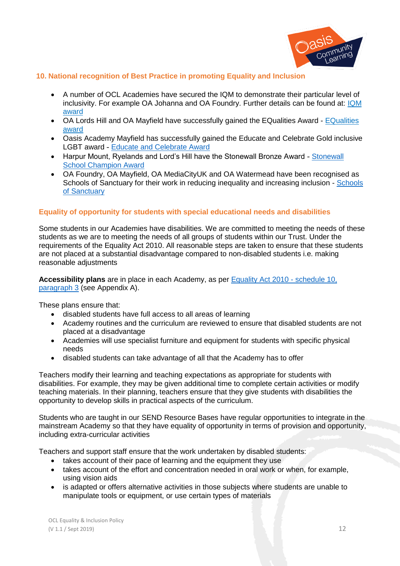

# <span id="page-11-0"></span>**10. National recognition of Best Practice in promoting Equality and Inclusion**

- A number of OCL Academies have secured the IQM to demonstrate their particular level of inclusivity. For example OA Johanna and OA Foundry. Further details can be found at: [IQM](https://iqmaward.com/)  [award](https://iqmaward.com/)
- OA Lords Hill and OA Mayfield have successfully gained the EQualities Award [EQualities](http://www.equalitiesaward.co.uk/)  [award](http://www.equalitiesaward.co.uk/)
- Oasis Academy Mayfield has successfully gained the Educate and Celebrate Gold inclusive LGBT award - [Educate and Celebrate Award](http://www.educateandcelebrate.org/award/)
- Harpur Mount, Ryelands and Lord's Hill have the [Stonewall](https://www.stonewall.org.uk/get-involved/get-involved-education/secondary-schools/stonewall-school-champion-awards) Bronze Award Stonewall [School Champion Award](https://www.stonewall.org.uk/get-involved/get-involved-education/secondary-schools/stonewall-school-champion-awards)
- OA Foundry, OA Mayfield, OA MediaCityUK and OA Watermead have been recognised as [Schools](https://schools.cityofsanctuary.org/schools-of-sanctuary-in-action/list-of-schools-of-sanctuary/) of Sanctuary for their work in reducing inequality and increasing inclusion - Schools [of Sanctuary](https://schools.cityofsanctuary.org/schools-of-sanctuary-in-action/list-of-schools-of-sanctuary/)

#### **Equality of opportunity for students with special educational needs and disabilities**

Some students in our Academies have disabilities. We are committed to meeting the needs of these students as we are to meeting the needs of all groups of students within our Trust. Under the requirements of the Equality Act 2010. All reasonable steps are taken to ensure that these students are not placed at a substantial disadvantage compared to non-disabled students i.e. making reasonable adjustments

**Accessibility plans** are in place in each Academy, as per [Equality Act 2010 -](http://www.legislation.gov.uk/ukpga/2010/15/schedule/10) schedule 10, [paragraph 3](http://www.legislation.gov.uk/ukpga/2010/15/schedule/10) (see Appendix A).

These plans ensure that:

- disabled students have full access to all areas of learning
- Academy routines and the curriculum are reviewed to ensure that disabled students are not placed at a disadvantage
- Academies will use specialist furniture and equipment for students with specific physical needs
- disabled students can take advantage of all that the Academy has to offer

Teachers modify their learning and teaching expectations as appropriate for students with disabilities. For example, they may be given additional time to complete certain activities or modify teaching materials. In their planning, teachers ensure that they give students with disabilities the opportunity to develop skills in practical aspects of the curriculum.

Students who are taught in our SEND Resource Bases have regular opportunities to integrate in the mainstream Academy so that they have equality of opportunity in terms of provision and opportunity, including extra-curricular activities

Teachers and support staff ensure that the work undertaken by disabled students:

- takes account of their pace of learning and the equipment they use
- takes account of the effort and concentration needed in oral work or when, for example, using vision aids
- is adapted or offers alternative activities in those subjects where students are unable to manipulate tools or equipment, or use certain types of materials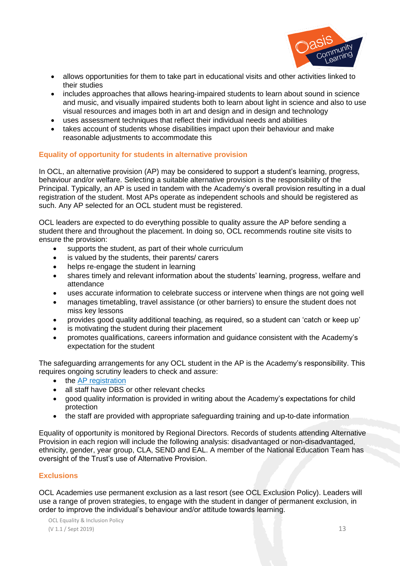

- allows opportunities for them to take part in educational visits and other activities linked to their studies
- includes approaches that allows hearing-impaired students to learn about sound in science and music, and visually impaired students both to learn about light in science and also to use visual resources and images both in art and design and in design and technology
- uses assessment techniques that reflect their individual needs and abilities
- takes account of students whose disabilities impact upon their behaviour and make reasonable adjustments to accommodate this

#### <span id="page-12-0"></span>**Equality of opportunity for students in alternative provision**

In OCL, an alternative provision (AP) may be considered to support a student's learning, progress, behaviour and/or welfare. Selecting a suitable alternative provision is the responsibility of the Principal. Typically, an AP is used in tandem with the Academy's overall provision resulting in a dual registration of the student. Most APs operate as independent schools and should be registered as such. Any AP selected for an OCL student must be registered.

OCL leaders are expected to do everything possible to quality assure the AP before sending a student there and throughout the placement. In doing so, OCL recommends routine site visits to ensure the provision:

- supports the student, as part of their whole curriculum
- is valued by the students, their parents/ carers
- helps re-engage the student in learning
- shares timely and relevant information about the students' learning, progress, welfare and attendance
- uses accurate information to celebrate success or intervene when things are not going well
- manages timetabling, travel assistance (or other barriers) to ensure the student does not miss key lessons
- provides good quality additional teaching, as required, so a student can 'catch or keep up'
- is motivating the student during their placement
- promotes qualifications, careers information and guidance consistent with the Academy's expectation for the student

The safeguarding arrangements for any OCL student in the AP is the Academy's responsibility. This requires ongoing scrutiny leaders to check and assure:

- the [AP registration](https://www.gov.uk/government/publications/independent-school-registration)
- all staff have DBS or other relevant checks
- good quality information is provided in writing about the Academy's expectations for child protection
- the staff are provided with appropriate safeguarding training and up-to-date information

Equality of opportunity is monitored by Regional Directors. Records of students attending Alternative Provision in each region will include the following analysis: disadvantaged or non-disadvantaged, ethnicity, gender, year group, CLA, SEND and EAL. A member of the National Education Team has oversight of the Trust's use of Alternative Provision.

# <span id="page-12-1"></span>**Exclusions**

OCL Academies use permanent exclusion as a last resort (see OCL Exclusion Policy). Leaders will use a range of proven strategies, to engage with the student in danger of permanent exclusion, in order to improve the individual's behaviour and/or attitude towards learning.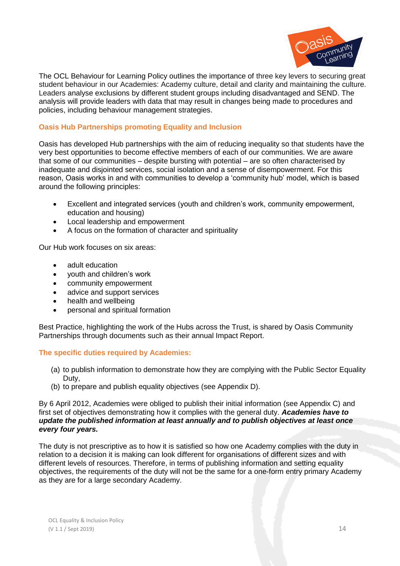

The OCL Behaviour for Learning Policy outlines the importance of three key levers to securing great student behaviour in our Academies: Academy culture, detail and clarity and maintaining the culture. Leaders analyse exclusions by different student groups including disadvantaged and SEND. The analysis will provide leaders with data that may result in changes being made to procedures and policies, including behaviour management strategies.

## **Oasis Hub Partnerships promoting Equality and Inclusion**

Oasis has developed Hub partnerships with the aim of reducing inequality so that students have the very best opportunities to become effective members of each of our communities. We are aware that some of our communities – despite bursting with potential – are so often characterised by inadequate and disjointed services, social isolation and a sense of disempowerment. For this reason, Oasis works in and with communities to develop a 'community hub' model, which is based around the following principles:

- Excellent and integrated services (youth and children's work, community empowerment, education and housing)
- Local leadership and empowerment
- A focus on the formation of character and spirituality

Our Hub work focuses on six areas:

- adult education
- youth and children's work
- community empowerment
- advice and support services
- health and wellbeing
- personal and spiritual formation

Best Practice, highlighting the work of the Hubs across the Trust, is shared by Oasis Community Partnerships through documents such as their annual Impact Report.

#### <span id="page-13-0"></span>**The specific duties required by Academies:**

- (a) to publish information to demonstrate how they are complying with the Public Sector Equality Duty,
- (b) to prepare and publish equality objectives (see Appendix D).

By 6 April 2012, Academies were obliged to publish their initial information (see Appendix C) and first set of objectives demonstrating how it complies with the general duty. *Academies have to update the published information at least annually and to publish objectives at least once every four years.* 

The duty is not prescriptive as to how it is satisfied so how one Academy complies with the duty in relation to a decision it is making can look different for organisations of different sizes and with different levels of resources. Therefore, in terms of publishing information and setting equality objectives, the requirements of the duty will not be the same for a one-form entry primary Academy as they are for a large secondary Academy.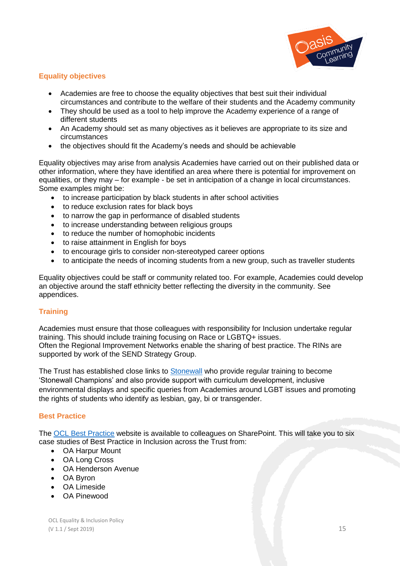

# **Equality objectives**

- Academies are free to choose the equality objectives that best suit their individual circumstances and contribute to the welfare of their students and the Academy community
- They should be used as a tool to help improve the Academy experience of a range of different students
- An Academy should set as many objectives as it believes are appropriate to its size and circumstances
- the objectives should fit the Academy's needs and should be achievable

Equality objectives may arise from analysis Academies have carried out on their published data or other information, where they have identified an area where there is potential for improvement on equalities, or they may – for example - be set in anticipation of a change in local circumstances. Some examples might be:

- to increase participation by black students in after school activities
- to reduce exclusion rates for black boys
- to narrow the gap in performance of disabled students
- to increase understanding between religious groups
- to reduce the number of homophobic incidents
- to raise attainment in English for boys
- to encourage girls to consider non-stereotyped career options
- to anticipate the needs of incoming students from a new group, such as traveller students

Equality objectives could be staff or community related too. For example, Academies could develop an objective around the staff ethnicity better reflecting the diversity in the community. See appendices.

# <span id="page-14-0"></span>**Training**

Academies must ensure that those colleagues with responsibility for Inclusion undertake regular training. This should include training focusing on Race or LGBTQ+ issues. Often the Regional Improvement Networks enable the sharing of best practice. The RINs are supported by work of the SEND Strategy Group.

The Trust has established close links to [Stonewall](https://www.stonewall.org.uk/) who provide regular training to become 'Stonewall Champions' and also provide support with curriculum development, inclusive environmental displays and specific queries from Academies around LGBT issues and promoting the rights of students who identify as lesbian, gay, bi or transgender.

#### **Best Practice**

The [OCL Best Practice](https://oasisit.sharepoint.com/sites/OCL-BP/SitePages/Inclusion.aspx) website is available to colleagues on SharePoint. This will take you to six case studies of Best Practice in Inclusion across the Trust from:

- OA Harpur Mount
- OA Long Cross
- OA Henderson Avenue
- OA Byron
- OA Limeside
- OA Pinewood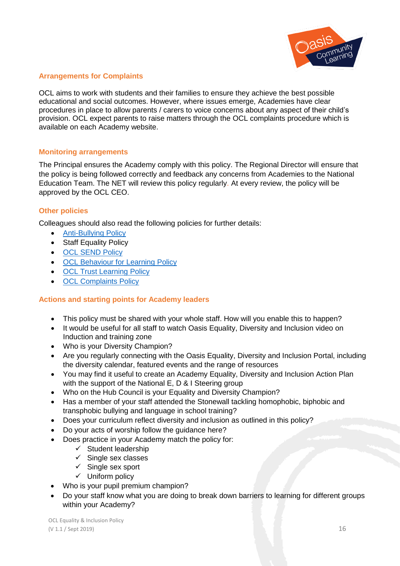

#### <span id="page-15-0"></span>**Arrangements for Complaints**

OCL aims to work with students and their families to ensure they achieve the best possible educational and social outcomes. However, where issues emerge, Academies have clear procedures in place to allow parents / carers to voice concerns about any aspect of their child's provision. OCL expect parents to raise matters through the OCL complaints procedure which is available on each Academy website.

#### <span id="page-15-1"></span>**Monitoring arrangements**

The Principal ensures the Academy comply with this policy. The Regional Director will ensure that the policy is being followed correctly and feedback any concerns from Academies to the National Education Team. The NET will review this policy regularly. At every review, the policy will be approved by the OCL CEO.

#### **Other policies**

Colleagues should also read the following policies for further details:

- [Anti-Bullying](https://oasisit.sharepoint.com/sites/PP/PolicyPortalLibrary/Anti-bullying%20Policy.pdf) Policy
- Staff Equality Policy
- [OCL SEND Policy](https://oasisit.sharepoint.com/sites/PP/PolicyPortalLibrary/Special%20Educational%20Needs%20and%20Disability%20SEND%20Policy.pdf)
- [OCL Behaviour for Learning Policy](https://oasisit.sharepoint.com/sites/PP/PolicyPortalLibrary/Behaviour%20for%20Learning%20Policy.pdf)
- **[OCL Trust Learning Policy](https://oasisit.sharepoint.com/sites/PP/PolicyPortalLibrary/Learning%20Policy%20(Draft).pdf)**
- [OCL Complaints Policy](https://oasisit.sharepoint.com/sites/PP/PolicyPortalLibrary/Complaints%20Policy.pdf)

# **Actions and starting points for Academy leaders**

- This policy must be shared with your whole staff. How will you enable this to happen?
- It would be useful for all staff to watch Oasis Equality, Diversity and Inclusion video on Induction and training zone
- Who is your Diversity Champion?
- Are you regularly connecting with the Oasis Equality, Diversity and Inclusion Portal, including the diversity calendar, featured events and the range of resources
- You may find it useful to create an Academy Equality, Diversity and Inclusion Action Plan with the support of the National E, D & I Steering group
- Who on the Hub Council is your Equality and Diversity Champion?
- Has a member of your staff attended the Stonewall tackling homophobic, biphobic and transphobic bullying and language in school training?
- Does your curriculum reflect diversity and inclusion as outlined in this policy?
- Do your acts of worship follow the guidance here?
- Does practice in your Academy match the policy for:
	- $\checkmark$  Student leadership
	- $\checkmark$  Single sex classes
	- $\checkmark$  Single sex sport
	- $\checkmark$  Uniform policy
- Who is your pupil premium champion?
- Do your staff know what you are doing to break down barriers to learning for different groups within your Academy?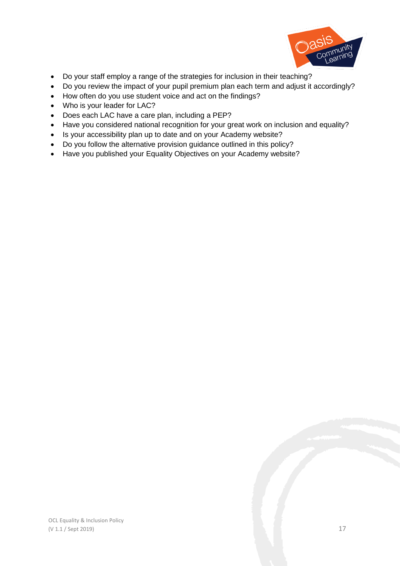

- Do your staff employ a range of the strategies for inclusion in their teaching?
- Do you review the impact of your pupil premium plan each term and adjust it accordingly?
- How often do you use student voice and act on the findings?
- Who is your leader for LAC?
- Does each LAC have a care plan, including a PEP?
- Have you considered national recognition for your great work on inclusion and equality?
- Is your accessibility plan up to date and on your Academy website?
- Do you follow the alternative provision guidance outlined in this policy?
- Have you published your Equality Objectives on your Academy website?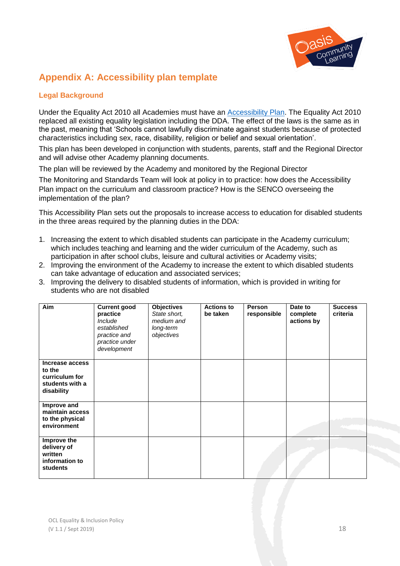

# <span id="page-17-0"></span>**Appendix A: Accessibility plan template**

# **Legal Background**

Under the Equality Act 2010 all Academies must have an [Accessibility Plan.](http://www.legislation.gov.uk/ukpga/2010/15/schedule/10) The Equality Act 2010 replaced all existing equality legislation including the DDA. The effect of the laws is the same as in the past, meaning that 'Schools cannot lawfully discriminate against students because of protected characteristics including sex, race, disability, religion or belief and sexual orientation'.

This plan has been developed in conjunction with students, parents, staff and the Regional Director and will advise other Academy planning documents.

The plan will be reviewed by the Academy and monitored by the Regional Director

The Monitoring and Standards Team will look at policy in to practice: how does the Accessibility Plan impact on the curriculum and classroom practice? How is the SENCO overseeing the implementation of the plan?

This Accessibility Plan sets out the proposals to increase access to education for disabled students in the three areas required by the planning duties in the DDA:

- 1. Increasing the extent to which disabled students can participate in the Academy curriculum; which includes teaching and learning and the wider curriculum of the Academy, such as participation in after school clubs, leisure and cultural activities or Academy visits;
- 2. Improving the environment of the Academy to increase the extent to which disabled students can take advantage of education and associated services;
- 3. Improving the delivery to disabled students of information, which is provided in writing for students who are not disabled

| Aim                                                                          | <b>Current good</b><br>practice<br>Include<br>established<br>practice and<br>practice under<br>development | <b>Objectives</b><br>State short,<br>medium and<br>long-term<br>objectives | <b>Actions to</b><br>be taken | Person<br>responsible | Date to<br>complete<br>actions by | <b>Success</b><br>criteria |
|------------------------------------------------------------------------------|------------------------------------------------------------------------------------------------------------|----------------------------------------------------------------------------|-------------------------------|-----------------------|-----------------------------------|----------------------------|
| Increase access<br>to the<br>curriculum for<br>students with a<br>disability |                                                                                                            |                                                                            |                               |                       |                                   |                            |
| Improve and<br>maintain access<br>to the physical<br>environment             |                                                                                                            |                                                                            |                               |                       |                                   |                            |
| Improve the<br>delivery of<br>written<br>information to<br>students          |                                                                                                            |                                                                            |                               |                       |                                   |                            |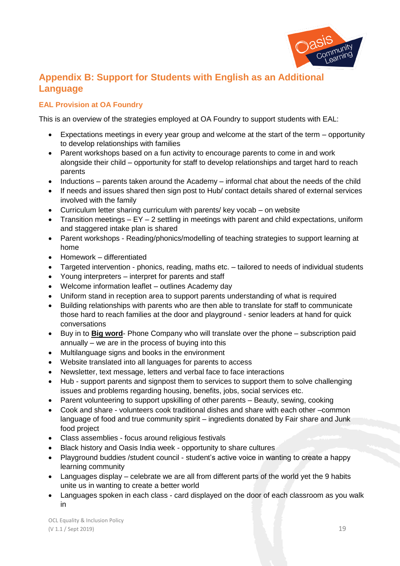

# **Appendix B: Support for Students with English as an Additional Language**

# **EAL Provision at OA Foundry**

This is an overview of the strategies employed at OA Foundry to support students with EAL:

- Expectations meetings in every year group and welcome at the start of the term opportunity to develop relationships with families
- Parent workshops based on a fun activity to encourage parents to come in and work alongside their child – opportunity for staff to develop relationships and target hard to reach parents
- $\bullet$  Inductions parents taken around the Academy informal chat about the needs of the child
- If needs and issues shared then sign post to Hub/ contact details shared of external services involved with the family
- Curriculum letter sharing curriculum with parents/ key vocab on website
- Transition meetings  $EY 2$  settling in meetings with parent and child expectations, uniform and staggered intake plan is shared
- Parent workshops Reading/phonics/modelling of teaching strategies to support learning at home
- Homework differentiated
- Targeted intervention phonics, reading, maths etc. tailored to needs of individual students
- Young interpreters interpret for parents and staff
- Welcome information leaflet outlines Academy day
- Uniform stand in reception area to support parents understanding of what is required
- Building relationships with parents who are then able to translate for staff to communicate those hard to reach families at the door and playground - senior leaders at hand for quick conversations
- Buy in to **Big word** Phone Company who will translate over the phone subscription paid annually – we are in the process of buying into this
- Multilanguage signs and books in the environment
- Website translated into all languages for parents to access
- Newsletter, text message, letters and verbal face to face interactions
- Hub support parents and signpost them to services to support them to solve challenging issues and problems regarding housing, benefits, jobs, social services etc.
- Parent volunteering to support upskilling of other parents Beauty, sewing, cooking
- Cook and share volunteers cook traditional dishes and share with each other –common language of food and true community spirit – ingredients donated by Fair share and Junk food project
- Class assemblies focus around religious festivals
- Black history and Oasis India week opportunity to share cultures
- Playground buddies /student council student's active voice in wanting to create a happy learning community
- Languages display celebrate we are all from different parts of the world yet the 9 habits unite us in wanting to create a better world
- Languages spoken in each class card displayed on the door of each classroom as you walk in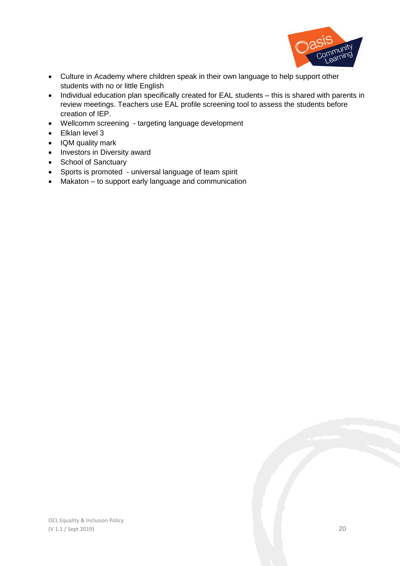

- Culture in Academy where children speak in their own language to help support other students with no or little English
- Individual education plan specifically created for EAL students this is shared with parents in review meetings. Teachers use EAL profile screening tool to assess the students before creation of IEP.
- Wellcomm screening targeting language development
- Elklan level 3
- IQM quality mark
- Investors in Diversity award
- School of Sanctuary
- Sports is promoted universal language of team spirit
- Makaton to support early language and communication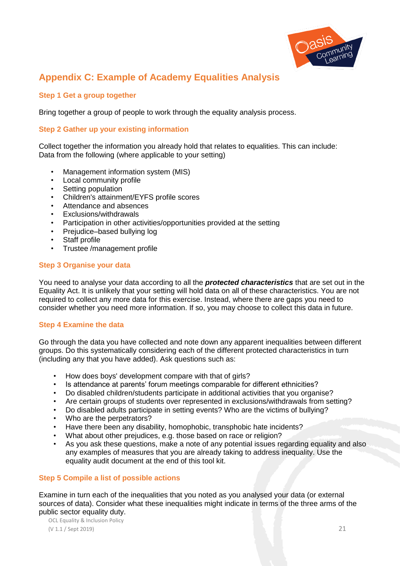

# **Appendix C: Example of Academy Equalities Analysis**

#### **Step 1 Get a group together**

Bring together a group of people to work through the equality analysis process.

#### **Step 2 Gather up your existing information**

Collect together the information you already hold that relates to equalities. This can include: Data from the following (where applicable to your setting)

- Management information system (MIS)
- Local community profile
- Setting population
- Children's attainment/EYFS profile scores
- Attendance and absences
- Exclusions/withdrawals
- Participation in other activities/opportunities provided at the setting
- Prejudice–based bullying log
- Staff profile
- Trustee /management profile

#### **Step 3 Organise your data**

You need to analyse your data according to all the *protected characteristics* that are set out in the Equality Act. It is unlikely that your setting will hold data on all of these characteristics. You are not required to collect any more data for this exercise. Instead, where there are gaps you need to consider whether you need more information. If so, you may choose to collect this data in future.

#### **Step 4 Examine the data**

Go through the data you have collected and note down any apparent inequalities between different groups. Do this systematically considering each of the different protected characteristics in turn (including any that you have added). Ask questions such as:

- How does boys' development compare with that of girls?
- Is attendance at parents' forum meetings comparable for different ethnicities?
- Do disabled children/students participate in additional activities that you organise?
- Are certain groups of students over represented in exclusions/withdrawals from setting?
- Do disabled adults participate in setting events? Who are the victims of bullying?
- Who are the perpetrators?
- Have there been any disability, homophobic, transphobic hate incidents?
- What about other prejudices, e.g. those based on race or religion?
- As you ask these questions, make a note of any potential issues regarding equality and also any examples of measures that you are already taking to address inequality. Use the equality audit document at the end of this tool kit.

#### **Step 5 Compile a list of possible actions**

Examine in turn each of the inequalities that you noted as you analysed your data (or external sources of data). Consider what these inequalities might indicate in terms of the three arms of the public sector equality duty.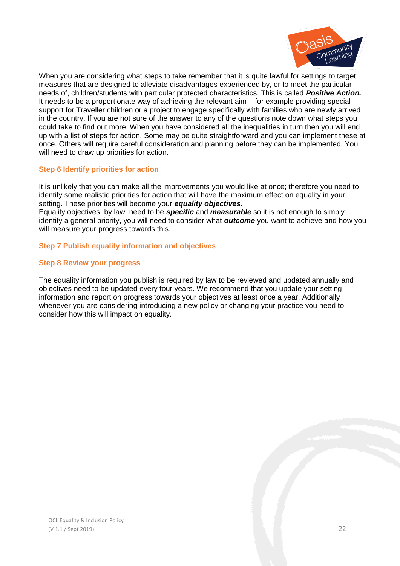

When you are considering what steps to take remember that it is quite lawful for settings to target measures that are designed to alleviate disadvantages experienced by, or to meet the particular needs of, children/students with particular protected characteristics. This is called *Positive Action.*  It needs to be a proportionate way of achieving the relevant aim – for example providing special support for Traveller children or a project to engage specifically with families who are newly arrived in the country. If you are not sure of the answer to any of the questions note down what steps you could take to find out more. When you have considered all the inequalities in turn then you will end up with a list of steps for action. Some may be quite straightforward and you can implement these at once. Others will require careful consideration and planning before they can be implemented. You will need to draw up priorities for action.

#### **Step 6 Identify priorities for action**

It is unlikely that you can make all the improvements you would like at once; therefore you need to identify some realistic priorities for action that will have the maximum effect on equality in your setting. These priorities will become your *equality objectives*. Equality objectives, by law, need to be *specific* and *measurable* so it is not enough to simply identify a general priority, you will need to consider what *outcome* you want to achieve and how you will measure your progress towards this.

#### **Step 7 Publish equality information and objectives**

#### **Step 8 Review your progress**

The equality information you publish is required by law to be reviewed and updated annually and objectives need to be updated every four years. We recommend that you update your setting information and report on progress towards your objectives at least once a year. Additionally whenever you are considering introducing a new policy or changing your practice you need to consider how this will impact on equality.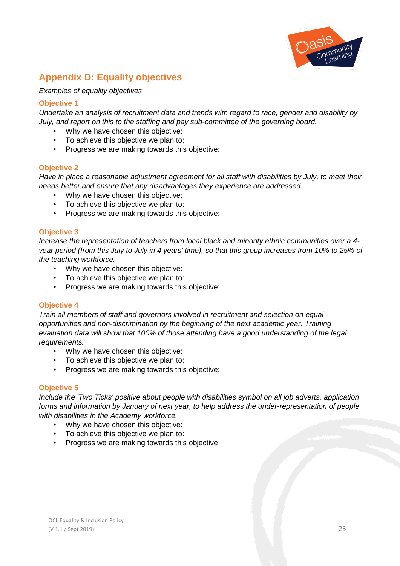

# **Appendix D: Equality objectives**

*Examples of equality objectives*

#### **Objective 1**

*Undertake an analysis of recruitment data and trends with regard to race, gender and disability by July, and report on this to the staffing and pay sub-committee of the governing board.*

- Why we have chosen this objective:
- To achieve this objective we plan to:
- Progress we are making towards this objective:

#### **Objective 2**

*Have in place a reasonable adjustment agreement for all staff with disabilities by July, to meet their needs better and ensure that any disadvantages they experience are addressed.*

- Why we have chosen this objective:
- To achieve this objective we plan to:
- Progress we are making towards this objective:

#### **Objective 3**

*Increase the representation of teachers from local black and minority ethnic communities over a 4 year period (from this July to July in 4 years' time), so that this group increases from 10% to 25% of the teaching workforce.*

- Why we have chosen this objective:
- To achieve this objective we plan to:
- Progress we are making towards this objective:

#### **Objective 4**

*Train all members of staff and governors involved in recruitment and selection on equal opportunities and non-discrimination by the beginning of the next academic year. Training evaluation data will show that 100% of those attending have a good understanding of the legal requirements.*

- Why we have chosen this objective:
- To achieve this objective we plan to:
- Progress we are making towards this objective:

#### **Objective 5**

*Include the 'Two Ticks' positive about people with disabilities symbol on all job adverts, application forms and information by January of next year, to help address the under-representation of people with disabilities in the Academy workforce.*

- Why we have chosen this objective:
- To achieve this objective we plan to:
- Progress we are making towards this objective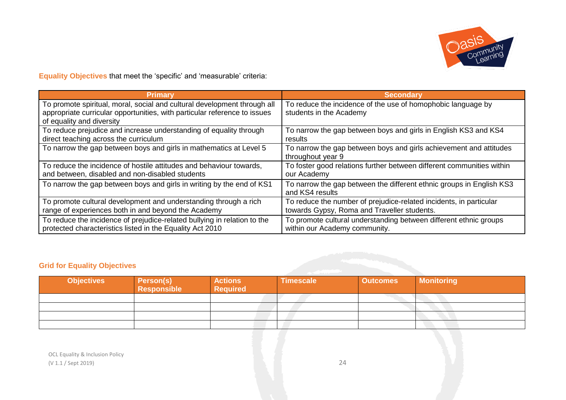

**Equality Objectives** that meet the 'specific' and 'measurable' criteria:

| Primary                                                                                                                                                                            | <b>Secondary</b>                                                                        |
|------------------------------------------------------------------------------------------------------------------------------------------------------------------------------------|-----------------------------------------------------------------------------------------|
| To promote spiritual, moral, social and cultural development through all<br>appropriate curricular opportunities, with particular reference to issues<br>of equality and diversity | To reduce the incidence of the use of homophobic language by<br>students in the Academy |
| To reduce prejudice and increase understanding of equality through                                                                                                                 | To narrow the gap between boys and girls in English KS3 and KS4                         |
| direct teaching across the curriculum                                                                                                                                              | results                                                                                 |
| To narrow the gap between boys and girls in mathematics at Level 5                                                                                                                 | To narrow the gap between boys and girls achievement and attitudes<br>throughout year 9 |
| To reduce the incidence of hostile attitudes and behaviour towards,                                                                                                                | To foster good relations further between different communities within                   |
| and between, disabled and non-disabled students                                                                                                                                    | our Academy                                                                             |
| To narrow the gap between boys and girls in writing by the end of KS1                                                                                                              | To narrow the gap between the different ethnic groups in English KS3<br>and KS4 results |
| To promote cultural development and understanding through a rich                                                                                                                   | To reduce the number of prejudice-related incidents, in particular                      |
| range of experiences both in and beyond the Academy                                                                                                                                | towards Gypsy, Roma and Traveller students.                                             |
| To reduce the incidence of prejudice-related bullying in relation to the                                                                                                           | To promote cultural understanding between different ethnic groups                       |
| protected characteristics listed in the Equality Act 2010                                                                                                                          | within our Academy community.                                                           |

# **Grid for Equality Objectives**

| <b>Objectives</b> | <b>Person(s)</b><br>Responsible | <b>Actions</b><br><b>Required</b> | <b>Timescale</b> | <b>Outcomes</b> | <b>Monitoring</b> |
|-------------------|---------------------------------|-----------------------------------|------------------|-----------------|-------------------|
|                   |                                 |                                   |                  |                 |                   |
|                   |                                 |                                   |                  |                 |                   |
|                   |                                 |                                   |                  |                 |                   |
|                   |                                 |                                   |                  |                 |                   |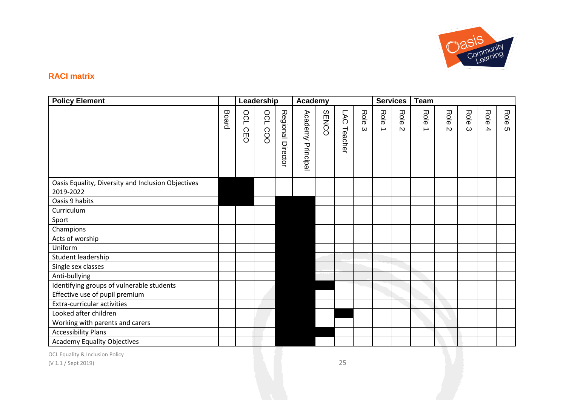

# **RACI matrix**

| <b>Policy Element</b>                                           |       |            | Leadership     |                   | Academy              |              |                |                  | <b>Services</b>       |                      | <b>Team</b>           |                      |                  |                                 |           |
|-----------------------------------------------------------------|-------|------------|----------------|-------------------|----------------------|--------------|----------------|------------------|-----------------------|----------------------|-----------------------|----------------------|------------------|---------------------------------|-----------|
|                                                                 | Board | OCL<br>CEO | <b>OCL COO</b> | Regional Director | Academy<br>Principal | <b>SENCO</b> | LAC<br>Teacher | Role<br>$\omega$ | Role<br>$\rightarrow$ | Role<br>$\mathbf{v}$ | Role<br>$\rightarrow$ | Role<br>$\mathbf{v}$ | Role<br>$\omega$ | Role<br>$\overline{\mathbf{4}}$ | Role<br>ຕ |
| Oasis Equality, Diversity and Inclusion Objectives<br>2019-2022 |       |            |                |                   |                      |              |                |                  |                       |                      |                       |                      |                  |                                 |           |
| Oasis 9 habits                                                  |       |            |                |                   |                      |              |                |                  |                       |                      |                       |                      |                  |                                 |           |
| Curriculum                                                      |       |            |                |                   |                      |              |                |                  |                       |                      |                       |                      |                  |                                 |           |
| Sport                                                           |       |            |                |                   |                      |              |                |                  |                       |                      |                       |                      |                  |                                 |           |
| Champions                                                       |       |            |                |                   |                      |              |                |                  |                       |                      |                       |                      |                  |                                 |           |
| Acts of worship                                                 |       |            |                |                   |                      |              |                |                  |                       |                      |                       |                      |                  |                                 |           |
| Uniform                                                         |       |            |                |                   |                      |              |                |                  |                       |                      |                       |                      |                  |                                 |           |
| Student leadership                                              |       |            |                |                   |                      |              |                |                  |                       |                      |                       |                      |                  |                                 |           |
| Single sex classes                                              |       |            |                |                   |                      |              |                |                  |                       |                      |                       |                      |                  |                                 |           |
| Anti-bullying                                                   |       |            |                |                   |                      |              |                |                  |                       |                      |                       |                      |                  |                                 |           |
| Identifying groups of vulnerable students                       |       |            |                |                   |                      |              |                |                  |                       |                      |                       |                      |                  |                                 |           |
| Effective use of pupil premium                                  |       |            |                |                   |                      |              |                |                  |                       |                      |                       |                      |                  |                                 |           |
| Extra-curricular activities                                     |       |            |                |                   |                      |              |                |                  |                       |                      |                       |                      |                  |                                 |           |
| Looked after children                                           |       |            |                |                   |                      |              |                |                  |                       |                      |                       |                      |                  |                                 |           |
| Working with parents and carers                                 |       |            |                |                   |                      |              |                |                  |                       |                      |                       |                      |                  |                                 |           |
| <b>Accessibility Plans</b>                                      |       |            |                |                   |                      |              |                |                  |                       |                      |                       |                      |                  |                                 |           |
| <b>Academy Equality Objectives</b>                              |       |            |                |                   |                      |              |                |                  |                       |                      |                       |                      |                  |                                 |           |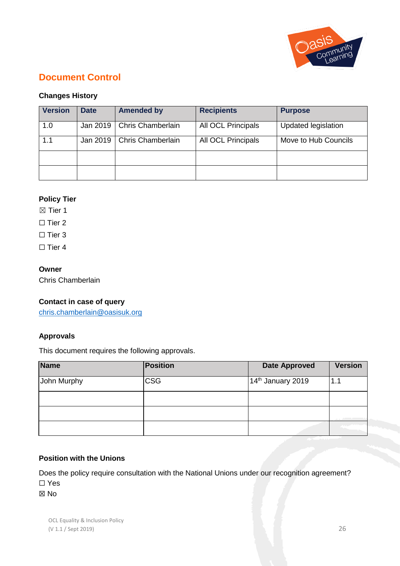

# **Document Control**

# **Changes History**

| <b>Version</b> | <b>Date</b> | <b>Amended by</b> | <b>Recipients</b>         | <b>Purpose</b>       |
|----------------|-------------|-------------------|---------------------------|----------------------|
| 1.0            | Jan 2019    | Chris Chamberlain | <b>All OCL Principals</b> | Updated legislation  |
| 1.1            | Jan 2019    | Chris Chamberlain | <b>All OCL Principals</b> | Move to Hub Councils |
|                |             |                   |                           |                      |
|                |             |                   |                           |                      |

# **Policy Tier**

 $\boxtimes$  Tier 1

 $\Box$  Tier 2

 $\Box$  Tier 3

 $\Box$  Tier 4

# **Owner**

Chris Chamberlain

# **Contact in case of query**

[chris.chamberlain@oasisuk.org](mailto:chris.chamberlain@oasisuk.org)

# **Approvals**

This document requires the following approvals.

| <b>Name</b> | Position   | <b>Date Approved</b>          | <b>Version</b> |
|-------------|------------|-------------------------------|----------------|
| John Murphy | <b>CSG</b> | 14 <sup>th</sup> January 2019 | 1.1            |
|             |            |                               |                |
|             |            |                               |                |
|             |            |                               |                |

# **Position with the Unions**

Does the policy require consultation with the National Unions under our recognition agreement? ☐ Yes

☒ No